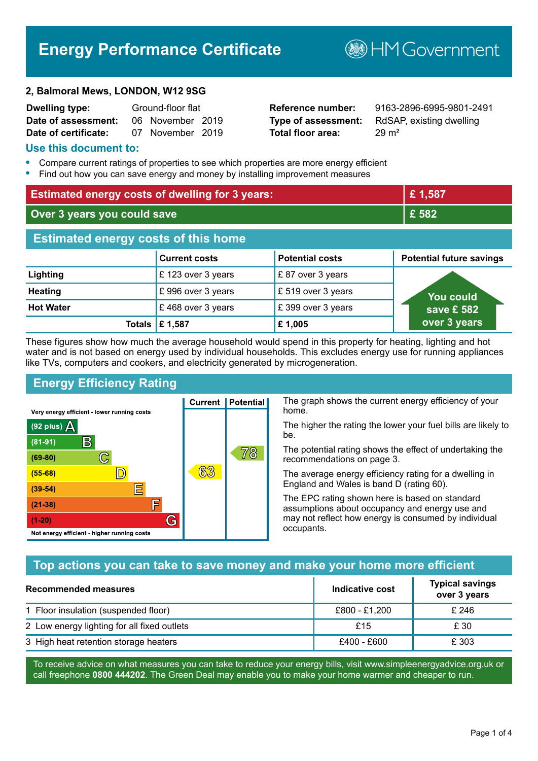# **Energy Performance Certificate**

**B**HM Government

#### **2, Balmoral Mews, LONDON, W12 9SG**

| <b>Dwelling type:</b> | Ground-floor flat |                  |  |
|-----------------------|-------------------|------------------|--|
| Date of assessment:   |                   | 06 November 2019 |  |
| Date of certificate:  |                   | 07 November 2019 |  |

**Total floor area:** 29 m<sup>2</sup>

**Reference number:** 9163-2896-6995-9801-2491 **Type of assessment:** RdSAP, existing dwelling

#### **Use this document to:**

- **•** Compare current ratings of properties to see which properties are more energy efficient
- **•** Find out how you can save energy and money by installing improvement measures

| <b>Estimated energy costs of dwelling for 3 years:</b> |                      | £1,587                 |                                 |
|--------------------------------------------------------|----------------------|------------------------|---------------------------------|
| Over 3 years you could save                            |                      | £582                   |                                 |
| <b>Estimated energy costs of this home</b>             |                      |                        |                                 |
|                                                        | <b>Current costs</b> | <b>Potential costs</b> | <b>Potential future savings</b> |
| Lighting                                               | £123 over 3 years    | £87 over 3 years       |                                 |
| <b>Heating</b>                                         | £996 over 3 years    | £ 519 over 3 years     | You could                       |
| <b>Hot Water</b>                                       | £468 over 3 years    | £399 over 3 years      | save £ 582                      |
| Totals I                                               | £1,587               | £1,005                 | over 3 years                    |

These figures show how much the average household would spend in this property for heating, lighting and hot water and is not based on energy used by individual households. This excludes energy use for running appliances like TVs, computers and cookers, and electricity generated by microgeneration.

**Current | Potential** 

63

# **Energy Efficiency Rating**

 $\mathbb{C}$ 

 $\mathbb{D}$ 

E

庐

G

Very energy efficient - lower running costs

R

Not energy efficient - higher running costs

 $(92$  plus)

 $(81 - 91)$ 

 $(69 - 80)$ 

 $(55-68)$ 

 $(39 - 54)$ 

 $(21-38)$ 

 $(1-20)$ 

- 78

The graph shows the current energy efficiency of your home.

The higher the rating the lower your fuel bills are likely to be.

The potential rating shows the effect of undertaking the recommendations on page 3.

The average energy efficiency rating for a dwelling in England and Wales is band D (rating 60).

The EPC rating shown here is based on standard assumptions about occupancy and energy use and may not reflect how energy is consumed by individual occupants.

## **Top actions you can take to save money and make your home more efficient**

78

| Recommended measures                        | Indicative cost | <b>Typical savings</b><br>over 3 years |
|---------------------------------------------|-----------------|----------------------------------------|
| 1 Floor insulation (suspended floor)        | £800 - £1,200   | £246                                   |
| 2 Low energy lighting for all fixed outlets | £15             | £ 30                                   |
| 3 High heat retention storage heaters       | £400 - £600     | £ 303                                  |

To receive advice on what measures you can take to reduce your energy bills, visit www.simpleenergyadvice.org.uk or call freephone **0800 444202**. The Green Deal may enable you to make your home warmer and cheaper to run.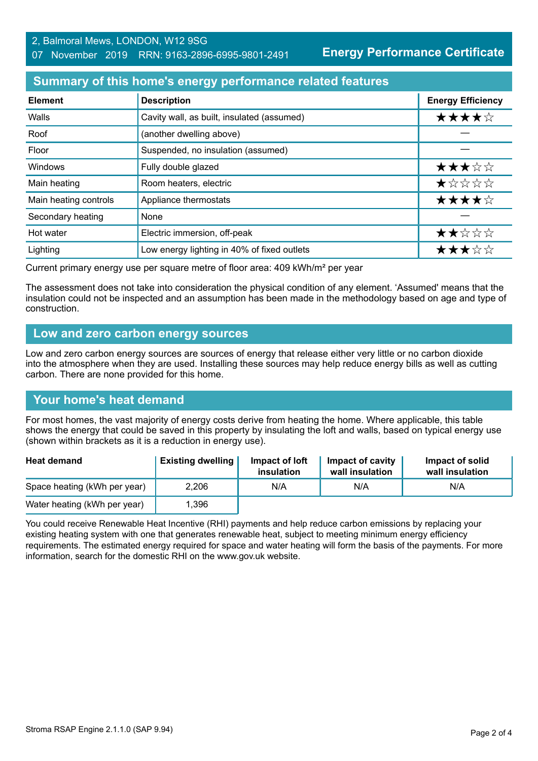**Energy Performance Certificate**

## **Summary of this home's energy performance related features**

| <b>Element</b>        | <b>Description</b>                          | <b>Energy Efficiency</b> |
|-----------------------|---------------------------------------------|--------------------------|
| Walls                 | Cavity wall, as built, insulated (assumed)  | ★★★★☆                    |
| Roof                  | (another dwelling above)                    |                          |
| Floor                 | Suspended, no insulation (assumed)          |                          |
| <b>Windows</b>        | Fully double glazed                         | ★★★☆☆                    |
| Main heating          | Room heaters, electric                      | *****                    |
| Main heating controls | Appliance thermostats                       | ★★★★☆                    |
| Secondary heating     | None                                        |                          |
| Hot water             | Electric immersion, off-peak                | ★★☆☆☆                    |
| Lighting              | Low energy lighting in 40% of fixed outlets | ★★★☆☆                    |

Current primary energy use per square metre of floor area: 409 kWh/m² per year

The assessment does not take into consideration the physical condition of any element. 'Assumed' means that the insulation could not be inspected and an assumption has been made in the methodology based on age and type of construction.

#### **Low and zero carbon energy sources**

Low and zero carbon energy sources are sources of energy that release either very little or no carbon dioxide into the atmosphere when they are used. Installing these sources may help reduce energy bills as well as cutting carbon. There are none provided for this home.

## **Your home's heat demand**

For most homes, the vast majority of energy costs derive from heating the home. Where applicable, this table shows the energy that could be saved in this property by insulating the loft and walls, based on typical energy use (shown within brackets as it is a reduction in energy use).

| <b>Heat demand</b>           | <b>Existing dwelling</b> | Impact of loft<br>insulation | Impact of cavity<br>wall insulation | Impact of solid<br>wall insulation |
|------------------------------|--------------------------|------------------------------|-------------------------------------|------------------------------------|
| Space heating (kWh per year) | 2,206                    | N/A                          | N/A                                 | N/A                                |
| Water heating (kWh per year) | .396                     |                              |                                     |                                    |

You could receive Renewable Heat Incentive (RHI) payments and help reduce carbon emissions by replacing your existing heating system with one that generates renewable heat, subject to meeting minimum energy efficiency requirements. The estimated energy required for space and water heating will form the basis of the payments. For more information, search for the domestic RHI on the www.gov.uk website.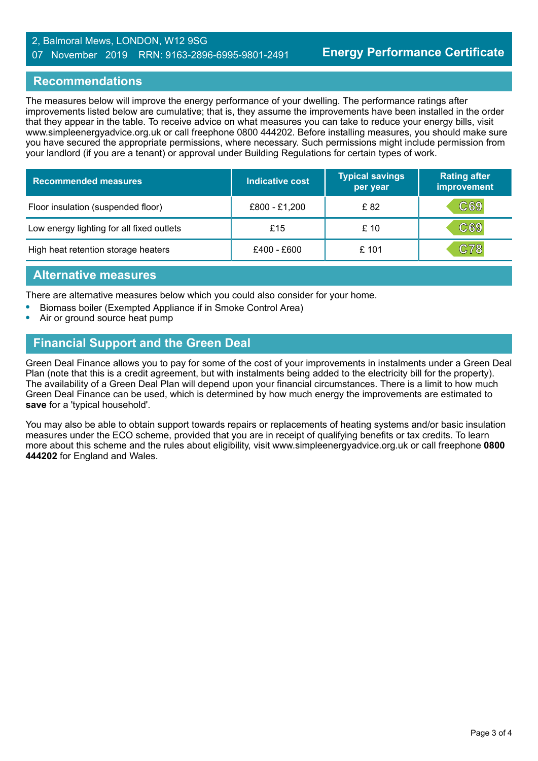#### 2, Balmoral Mews, LONDON, W12 9SG 07 November 2019 RRN: 9163-2896-6995-9801-2491

## **Recommendations**

The measures below will improve the energy performance of your dwelling. The performance ratings after improvements listed below are cumulative; that is, they assume the improvements have been installed in the order that they appear in the table. To receive advice on what measures you can take to reduce your energy bills, visit www.simpleenergyadvice.org.uk or call freephone 0800 444202. Before installing measures, you should make sure you have secured the appropriate permissions, where necessary. Such permissions might include permission from your landlord (if you are a tenant) or approval under Building Regulations for certain types of work.

| <b>Recommended measures</b>               | Indicative cost | <b>Typical savings</b><br>per year | <b>Rating after</b><br>improvement |
|-------------------------------------------|-----------------|------------------------------------|------------------------------------|
| Floor insulation (suspended floor)        | £800 - £1,200   | £ 82                               | C69                                |
| Low energy lighting for all fixed outlets | £15             | £10                                | C69                                |
| High heat retention storage heaters       | £400 - £600     | £ 101                              | C78                                |

#### **Alternative measures**

There are alternative measures below which you could also consider for your home.

- **•** Biomass boiler (Exempted Appliance if in Smoke Control Area)
- **•** Air or ground source heat pump

# **Financial Support and the Green Deal**

Green Deal Finance allows you to pay for some of the cost of your improvements in instalments under a Green Deal Plan (note that this is a credit agreement, but with instalments being added to the electricity bill for the property). The availability of a Green Deal Plan will depend upon your financial circumstances. There is a limit to how much Green Deal Finance can be used, which is determined by how much energy the improvements are estimated to **save** for a 'typical household'.

You may also be able to obtain support towards repairs or replacements of heating systems and/or basic insulation measures under the ECO scheme, provided that you are in receipt of qualifying benefits or tax credits. To learn more about this scheme and the rules about eligibility, visit www.simpleenergyadvice.org.uk or call freephone **0800 444202** for England and Wales.